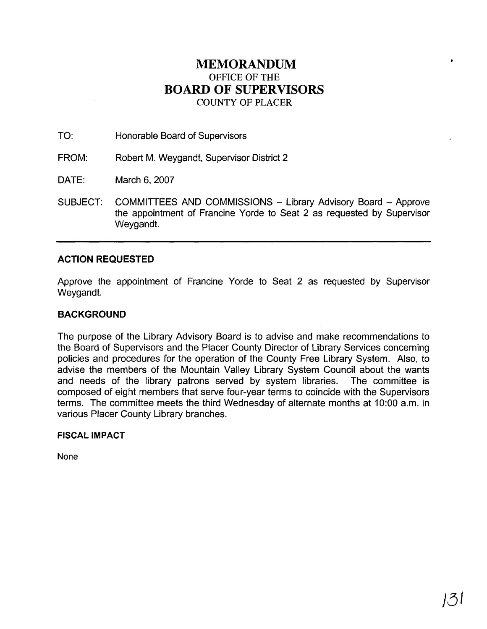## **MEMORANDUM**  OFFICE OF THE **BOARD OF SUPERVISORS**  COUNTY OF PLACER

TO: Honorable Board of Supervisors

FROM: Robert M. Weygandt, Supervisor District 2

DATE: March 6,2007

SUBJECT: COMMITTEES AND COMMISSIONS - Library Advisory Board - Approve the appointment of Francine Yorde to Seat 2 as requested by Supervisor Weygandt.

## **ACTION REQUESTED**

Approve the appointment of Francine Yorde to Seat 2 as requested by Supervisor Weygandt.

## **BACKGROUND**

The purpose of the Library Advisory Board is to advise and make recommendations to the Board of Supervisors and the Placer County Director of Library Services concerning policies and procedures for the operation of the County Free Library System. Also, to advise the members of the Mountain Valley Library System Council about the wants and needs of the library patrons served by system libraries. The committee is composed of eight members that serve four-year terms to coincide with the Supervisors terms. The committee meets the third Wednesday of alternate months at 10:OO a.m. in various Placer County Library branches.

## **FISCAL IMPACT**

None